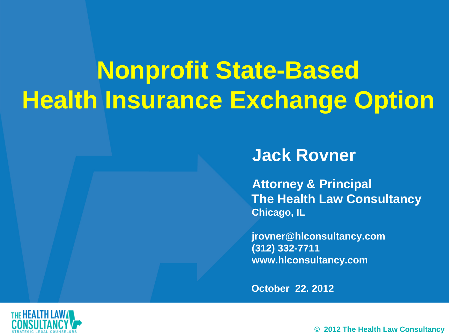## **Nonprofit State-Based Health Insurance Exchange Option**

#### **Jack Rovner**

**Attorney & Principal The Health Law Consultancy Chicago, IL**

**jrovner@hlconsultancy.com (312) 332-7711 www.hlconsultancy.com**

**October 22. 2012**



**© 2012 The Health Law Consultancy**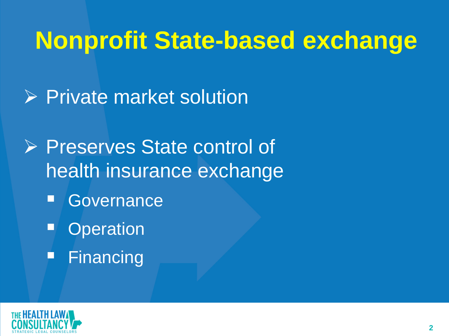## **Nonprofit State-based exchange**

- **Private market solution**
- **▶ Preserves State control of** health insurance exchange
	- **Governance**
	- **Operation**
	- Financing

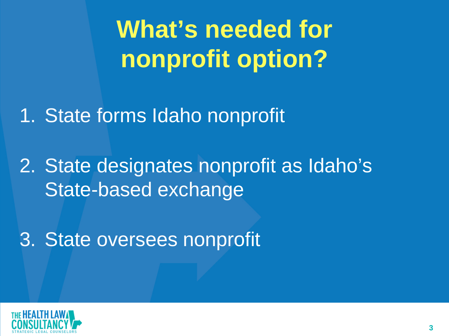**What's needed for nonprofit option?**

1. State forms Idaho nonprofit

2. State designates nonprofit as Idaho's State-based exchange

3. State oversees nonprofit

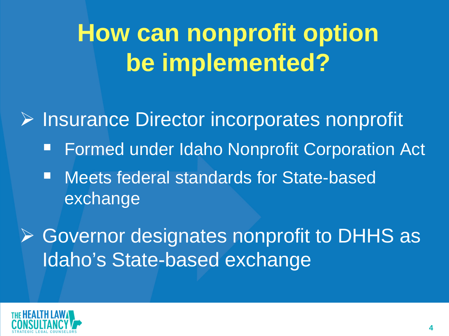## **How can nonprofit option be implemented?**

**▶ Insurance Director incorporates nonprofit**  Formed under Idaho Nonprofit Corporation Act ■ Meets federal standards for State-based exchange

**▶ Governor designates nonprofit to DHHS as** Idaho's State-based exchange

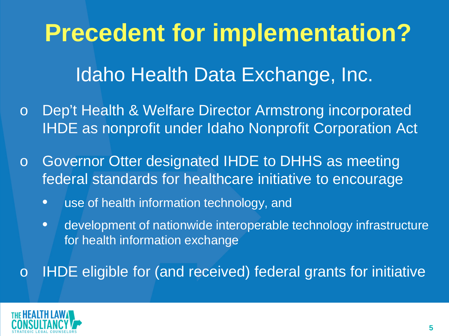# **Precedent for implementation?**

### Idaho Health Data Exchange, Inc.

- o Dep't Health & Welfare Director Armstrong incorporated IHDE as nonprofit under Idaho Nonprofit Corporation Act
- o Governor Otter designated IHDE to DHHS as meeting federal standards for healthcare initiative to encourage
	- use of health information technology, and
	- development of nationwide interoperable technology infrastructure for health information exchange

o IHDE eligible for (and received) federal grants for initiative

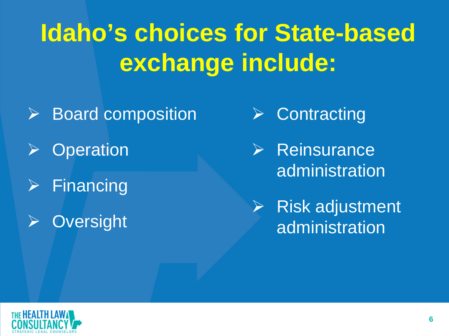## **Idaho's choices for State-based exchange include:**

- $\triangleright$  Board composition
- **Operation**
- $\triangleright$  Financing
- **▶ Oversight**
- $\triangleright$  Contracting
- $\triangleright$  Reinsurance administration
- Risk adjustment administration

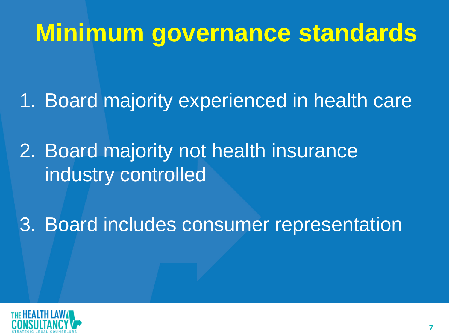## **Minimum governance standards**

1. Board majority experienced in health care

2. Board majority not health insurance industry controlled

3. Board includes consumer representation

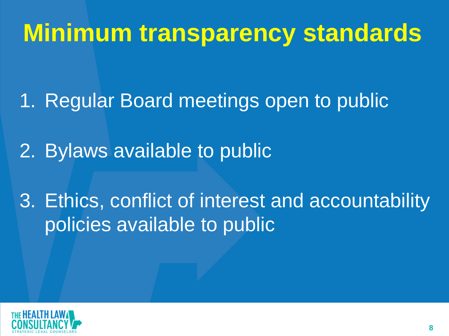## **Minimum transparency standards**

1. Regular Board meetings open to public

2. Bylaws available to public

3. Ethics, conflict of interest and accountability policies available to public